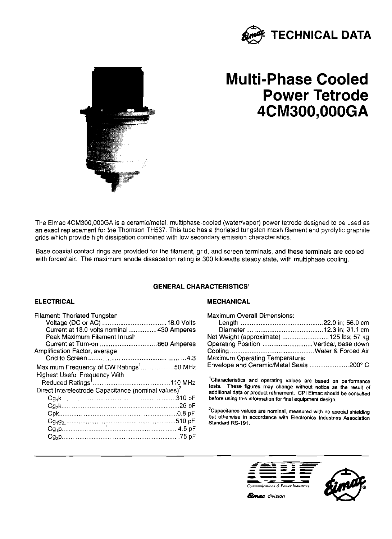



# **Multi-Phase Cooled Power Tetrode 4CM300,OOOGA**

The Eimac 4CM300,OOOGA is a ceramic/metal, multiphase-cooled (waterlvapor) power tetrode designed to be used as an exact replacement for the Thomson TH537. This tube has **a** thoriated tungsten mesh filament and pyrolytic graphite grids which provide high dissipation combined with low secondary emission characteristics.

Base coaxial contact rings are provided for the filament, grid, and screen terminals, and these terminals are cooled with forced air. The maximum anode dissapation rating is 300 kilowatts steady state, with multiphase cooling.

# **GENERAL CHARACTERISTICS'**

| <b>Filament: Thoriated Tungsten</b>                             |  |
|-----------------------------------------------------------------|--|
|                                                                 |  |
| Current at 18.0 volts nominal 430 Amperes                       |  |
| Peak Maximum Filament Inrush                                    |  |
|                                                                 |  |
| Amplification Factor, average                                   |  |
|                                                                 |  |
| Maximum Frequency of CW Ratings <sup>1</sup> 50 MHz             |  |
| <b>Highest Useful Frequency With</b>                            |  |
|                                                                 |  |
| Direct Interelectrode Capacitance (nominal values) <sup>2</sup> |  |
|                                                                 |  |
|                                                                 |  |
|                                                                 |  |
|                                                                 |  |
|                                                                 |  |
|                                                                 |  |

# **ELECTRICAL MECHANICAL**

| <b>ACTERISTICS'</b>                                                                                                                                         |  |
|-------------------------------------------------------------------------------------------------------------------------------------------------------------|--|
| <b>MECHANICAL</b>                                                                                                                                           |  |
| <b>Maximum Overall Dimensions:</b><br>Net Weight (approximate)  125 lbs; 57 kg<br>Operating Position  Vertical, base down<br>Maximum Operating Temperature: |  |
| Envelope and Ceramic/Metal Seals 200° C                                                                                                                     |  |

<sup>1</sup>Characteristics and operating values are based on performance **tests. These figures may change without notice as the result of additional data or product refinement. CPI Eimac should be consulted**  before using this information for final equipment design.

<sup>2</sup>Capacitance values are nominal, measured with no special shielding **but otherwise in accordance with Electronics Industries Association**  Standard RS-191.



**Elmac** division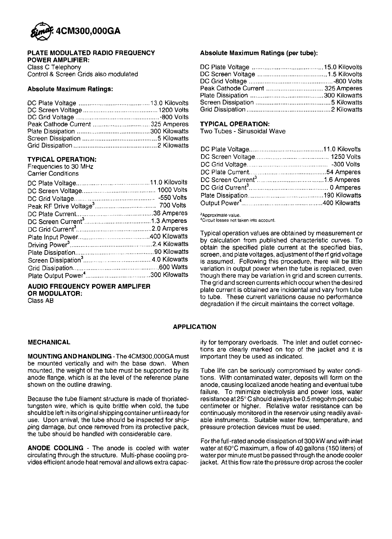

#### PLATE MODULATED RADIO FREQUENCY POWER AMPLIFIER:

Class C Telephony Control & Screen Grids also modulated

### Absolute Maximum Ratings:

## TYPICAL OPERATION:

Frequencies to 30 MHz Carrier Conditions

AUDIO FREQUENCY POWER AMPLIFER OR MODULATOR:

Class AB

#### Absolute Maximum Ratings **(per** tube):

| Absolute Maximum Ratings (per tube): |  |  |  |
|--------------------------------------|--|--|--|
|                                      |  |  |  |
|                                      |  |  |  |
|                                      |  |  |  |
|                                      |  |  |  |
|                                      |  |  |  |
|                                      |  |  |  |
|                                      |  |  |  |

#### TYPICAL OPERATION:

Two Tubes - Sinusoidal Wave

<sup>3</sup>Approximate value.

 $4$ Circuit losses not taken into account.

Typical operation values are obtained by measurement or<br>by calculation from published characteristic curves. To<br>obtain the specified plate current at the specified bias,<br>screen, and plate voltages, adjustment of the rf gri is assumed. Following this procedure, there will be little Grid Dissi~ation ................................................. 600 Wans variation in outout oower when the tube is re~laced. even **<sup>4</sup>**,~ ~ though there may be variation in grid and screen currents. The grid and screen currents which occur when the desired plate current is obtained are incidental and vary from tube to tube. These current variations cause no performance degradation if the circuit maintains the correct voltage.

# APPLICATION

#### MECHANICAL

MOUNTING AND HANDLING -The 4CM300,OOOGA must be mounted vertically and with the base down. When mounted, the weight of the tube must be supported by its anode flange, which is at the level of the reference plane shown on the outline drawing.

Because the tube filament structure is made of thoriatedtungsten wire, which is quite brittle when cold, the tube should be left in itsoriginal shipping container until ready for use. Upon arrival, the tube should be inspected for shipping damage, but once removed from its protective pack, the tube should be handled with considerable care.

ANODE COOLING - The anode is cooled with water circulating through the structure. Multi-phase cooling provides efficient anode heat removal and allows extra capacity for temporary overloads. The inlet and outlet connections are clearly marked on top of the jacket and it is important they be used as indicated.

Tube life can be seriously compromised by water conditions. With contaminated water, deposits will form on the anode, causing localized anode heating and eventual tube failure. To minimize electrolysis and power loss, water resistanceat25"Cshould always be0.5megohm percubic centimeter or higher. Relative water resistance can be continuously monitored in the reservoir using readily available instruments. Suitable water flow, temperature, and pressure protection devices must be used.

For the full-rated anode dissipation of 300 kW and with inlet water at 60°C maximum, a flow of 40 gallons (150 liters) of water per minute must be passed through the anode cooler jacket. Atthis flow rate the pressure drop across the cooler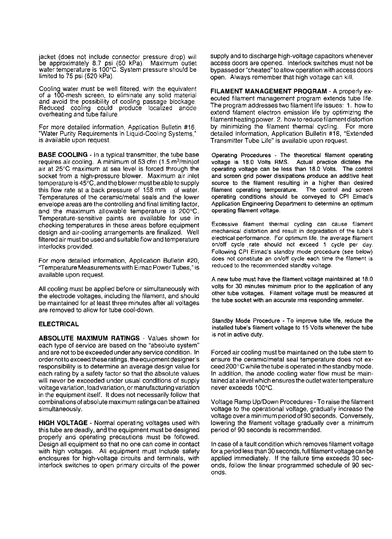jacket (does not include connector pressure drop) will be approximately 8.7 psi (60 kPa). Maximum outlet be approximately 8.7 psi (60 KPa). Maximum outlet<br>water temperature is 100°C. System pressure should be<br>limited to 75 psi (520 kPa).

Cooling water must be well filtered, with the equivalent of a 100-mesh screen, to eliminate any solid material and avoid the possibility of cooling passage blockage. Reduced cooling could produce localized anode overheating and tube failure.

For more detailed information, Application Bulletin #16, "Water Purity Requirements in Liquid-Cooling Systems," is available upon request.

BASE COOLING - In a typical transmitter, the tube base requires air cooling. A minimum of 53 cfm  $(1.5 \text{ m}^3/\text{min})$ of air at 25°C maximum at sea level is forced through the socket from a high-pressure blower. Maximum air inlet temperature is  $45^{\circ}$ C, and the blower must be able to supply this flow rate at a back pressure of 158 mm of water. Temperatures of the ceramic/metal seals and the lower envelope areas are the controlling and final limiting factor, and the maximum allowable temperature is 200°C. Temperature-sensitive paints are available for use in checking temperatures in these areas before equipment design and air-cooling arrangements are finalized. Well filtered air must be used and suitable flow and temperature interlocks provided.

For more detailed information, Application Bulletin #20, "Temperature Measurements with Eimac PowerTubes," is available upon request.

All cooling must be applied before or simultaneously with the electrode voltages, including the filament, and should be maintained for at least three minutes after all voltages are removed to allow for tube cool-down.

#### **ELECTRICAL**

ABSOLUTE MAXIMUM RATINGS - Values shown for each type of service are based on the "absolute system" and are not to be exceeded under any sewicecondition. In order notto exceedthese ratings, the equipmentdesigner's responsibility is to determine an average design value for each rating by a safety factor so that the absolute values will never be exceeded under usual conditions of supply voltage variation, loadvariation, or manufacturing variation in the equipment itself. It does not necessarily follow that combinations of absolute maximum ratings can be attained simultaneously.

HIGH VOLTAGE - Normal operating voltages used with this tube are deadly, and the equipment must be designed properly and operating precautions must be followed. Design all equipment so that no one can come in contact with high voltages. All equipment must include safety enclosures for high-voltage circuits and terminals, with interlock switches to open primary circuits of the power

supply and to discharge high-voltage capacitors whenever access doors are opened. Interlock switches must not be bypassed or "cheated" to allow operation with access doors open. Always remember that high voltage can kill.

FILAMENT MANAGEMENT PROGRAM - A properly executed filament management program extends tube life. The program addresses two filament life issues: 1. how to extend filament electron emission life by optimizing the filament heating power. 2. how to reduce filament distortion by minimizing the filament thermal cycling. For more detailed information, Application Bulletin **#18,** "Extended Transmitter Tube Life" is available upon request.

Operating Procedures - The theoretical filament operating voltage is 18.0 Volts RMS. operating voltage can be less than 18.0 Volts. The control and screen grid power dissipations produce an additive heat source to the filament resulting in a higher than desired<br>filament operating temperature. The control and screen filament operating temperature. operating conditions should be conveyed to CPI Eimac's Application Engineering Department to determine an optimum operating filament voltage.

Excessive filament thermal cycling can cause filament mechanical distortion and result in degradation of the tube's electrical performance. For optimum life, the average filament on/off cycle rate should not exceed 1 cycle per day. Following CPI Eimac's standby mode procedure (see below) does not constitute an on/off cycle each time the filament is reduced to the recommended standby voltage.

A new tube must have the filament voltage maintained at 18.0 volts for 30 minutes minimum prior to the application of any other tube voltages. Filament voltage must be measured at the tube socket with an accurate rms responding ammeter.

Standby Mode Procedure - To improve tube life, reduce the installed tube's filament voltage to 15 Volts whenever the tube is not in active duty.

Forced air cooling must be maintained on the tube stem to ensure the ceramic/metal seal temperature does not exceed 200° C while the tube is operated in the standby mode. In addition, the anode cooling water flow must be maintained at a level which ensures the outlet water temperature never exceeds 100°C.

Voltage Ramp Up/Down Procedures - To raise the filament voltage to the operational voltage, gradually increase the voltage over a minimum periodof 90 seconds. Conversely, lowering the filament voltage gradually over a minimum period of 90 seconds is recommended.

In case of a fault condition which removes filament voltage for a period less than 30 seconds, full filament voltage can be applied immediately. If the failure time exceeds 30 seconds, follow the linear programmed schedule of 90 seconds.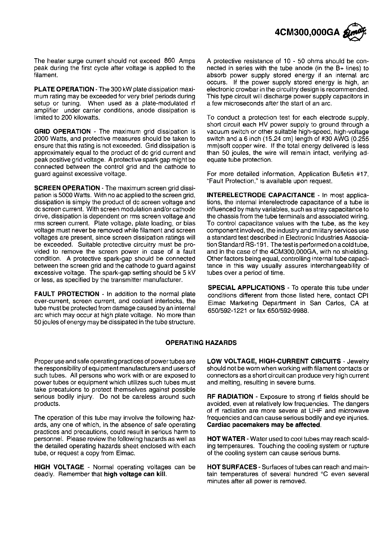

The heater surge current should not exceed 860 Amps peak during the first cycle after voltage is applied to the filament.

PLATE OPERATION - The 300 kW plate dissipation maximum rating may be exceeded for very brief periods during setup or tuning. When used as a plate-modulated rf amplifier under carrier conditions, anode dissipation is limited to 200 kilowatts.

GRID OPERATION - The maximum grid dissipation is 2000 Watts, and protective measures should be taken to ensure that this rating is not exceeded. Grid dissipation is approximately equal to the product of dc grid current and peak positive grid voltage. A protective spark gap might be connected between the control grid and the cathode to guard against excessive voltage.

SCREEN OPERATION - The maximum screen grid dissipation is 5000 Watts. With no ac applied to the screen grid, dissipation is simply the product of dc screen voltage and dc screen current. With screen modulation and/or cathode drive, dissipation is dependent on rms screen voltage and rrns screen current. Plate voltage, plate loading, or bias voltage must never be removed while filament and screen voltages are present, since screen dissipation ratings will be exceeded. Suitable protective circuitry must be provided to remove the screen power in case of a fault condition. A protective spark-gap should be connected between the screen grid and the cathode to guard against excessive voltage. The spark-gap setting should be 5 kV or less, as specified by the transmitter manufacturer.

FAULT PROTECTION - In addition to the normal plate over-current, screen current, and coolant interlocks, the tube must be protected from damage caused by an internal arc which may occur at high plate voltage. No more than 50 joules of energy may be dissipated in the tube structure. A protective resistance of 10 - 50 ohms should be connected in series with the tube anode (in the B+ lines) to absorb power supply stored energy if an internal arc occurs. If the power supply stored energy is high, an electronic crowbar in the circuitry design is recommended. This type circuit will discharge power supply capacitors in a few microseconds after the start of an arc.

To conduct a protection test for each electrode supply, short circuit each HV power supply to ground through a vacuum switch or other suitable high-speed, high-voltage switch and a 6 inch (15.24 cm) length of  $#30$  AWG (0.255) mm)soft copper wire. If the total energy delivered is less than 50 joules, the wire will remain intact, verifying adequate tube protection.

For more detailed information, Application Bulletin #17, "Fault Protection," is available upon request.

INTERELECTRODE CAPACITANCE - In most applications, the internal interelectrode capacitance of a tube is influenced by many variables, such as stray capacitance to the chassis from the tube terminals and associated wiring. To control capacitance values with the tube, as the key component involved, the industry and military services use a standard test described in Electronic Industries Association Standard RS-191. The test is performedonacoldtube, and in the case of the 4CM300,000GA, with no shielding. Other factors being equal, controlling internal tube capacitance in this way usually assures interchangeability of tubes over a period of time.

SPECIAL APPLICATIONS - To operate this tube under conditions different from those listed here, contact CPI Eirnac Marketing Department in San Carlos, CA at 650/592-1221 or fax 650/592-9988.

#### OPERATING HAZARDS

Proper use and safe operating practices of power tubes are the responsibility of equipment manufacturers and users of such tubes. All persons who work with or are exposed to power tubes or equipment which utilizes such tubes must take precatuions to protect themselves against possible serious bodily injury. Do not be careless around such products.

The operation of this tube may involve the following hazards, any one of which, in the absence of safe operating practices and precautions, could result in serious harm to personnel. Please review the following hazards as well as the detailed operating hazards sheet enclosed with each tube, or request a copy from Eimac.

HIGH VOLTAGE - Normal operating voltages can be HOT SURFACES - Surfaces of tubes can reach and maindeadly. Remember that **high voltage can kill**. the tain temperatures of several hundred °C even several

LOW VOLTAGE, HIGH-CURRENT CIRCUITS - Jewelry should not be worn when working with filament contacts or connectors as a short circuit can produce very high current and melting, resulting in severe burns.

RF RADIATION - Exposure to strong rf fields should be avoided, even at relatively low frequencies. The dangers of **rf** radiation are more severe at UHF and microwave frequencies and can cause serious bodily and eye injuries. Cardiac pacemakers may be affected.

**HOT WATER** - Water used to cool tubes may reach scalding temperaures. Touching the cooling system or rupture of the cooling system can cause serious burns.

minutes after all power is removed.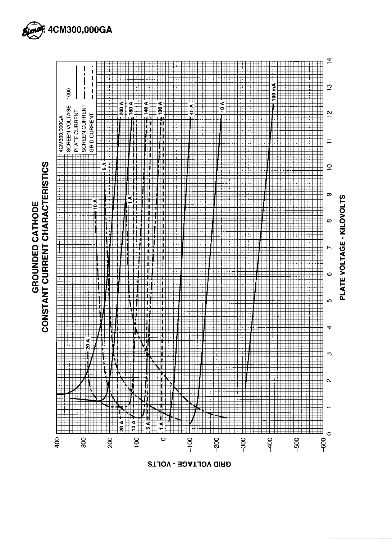



GRID VOLTAGE - VOLTS